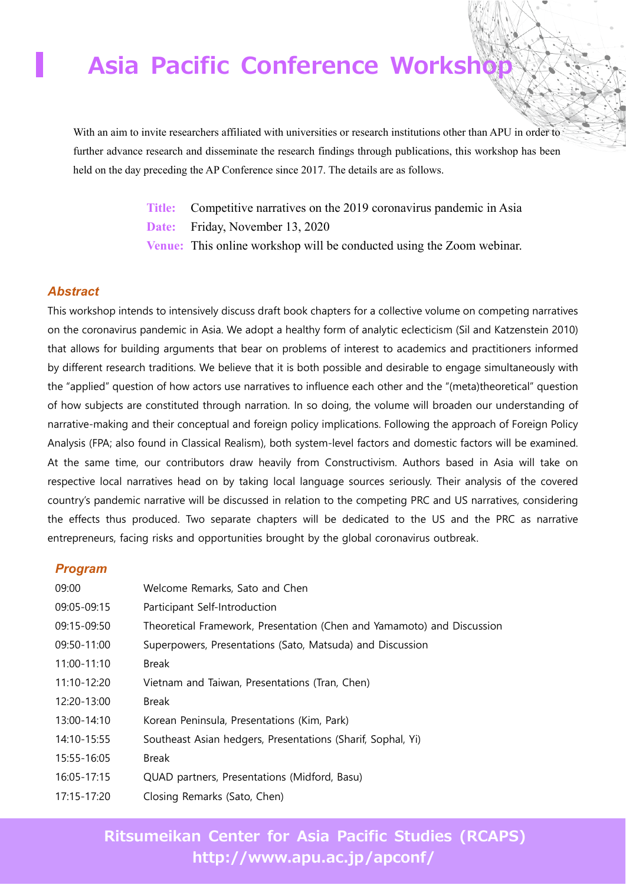## **Asia Pacific Conference Worksh**

With an aim to invite researchers affiliated with universities or research institutions other than APU in order to further advance research and disseminate the research findings through publications, this workshop has been held on the day preceding the AP Conference since 2017. The details are as follows.

> **Title:** Competitive narratives on the 2019 coronavirus pandemic in Asia **Date:** Friday, November 13, 2020 **Venue:** This online workshop will be conducted using the Zoom webinar.

#### *Abstract*

This workshop intends to intensively discuss draft book chapters for a collective volume on competing narratives on the coronavirus pandemic in Asia. We adopt a healthy form of analytic eclecticism (Sil and Katzenstein 2010) that allows for building arguments that bear on problems of interest to academics and practitioners informed by different research traditions. We believe that it is both possible and desirable to engage simultaneously with the "applied" question of how actors use narratives to influence each other and the "(meta)theoretical" question of how subjects are constituted through narration. In so doing, the volume will broaden our understanding of narrative-making and their conceptual and foreign policy implications. Following the approach of Foreign Policy Analysis (FPA; also found in Classical Realism), both system-level factors and domestic factors will be examined. At the same time, our contributors draw heavily from Constructivism. Authors based in Asia will take on respective local narratives head on by taking local language sources seriously. Their analysis of the covered country's pandemic narrative will be discussed in relation to the competing PRC and US narratives, considering the effects thus produced. Two separate chapters will be dedicated to the US and the PRC as narrative entrepreneurs, facing risks and opportunities brought by the global coronavirus outbreak.

#### *Program*

| 09:00       | Welcome Remarks, Sato and Chen                                         |
|-------------|------------------------------------------------------------------------|
| 09:05-09:15 | Participant Self-Introduction                                          |
| 09:15-09:50 | Theoretical Framework, Presentation (Chen and Yamamoto) and Discussion |
| 09:50-11:00 | Superpowers, Presentations (Sato, Matsuda) and Discussion              |
| 11:00-11:10 | <b>Break</b>                                                           |
| 11:10-12:20 | Vietnam and Taiwan, Presentations (Tran, Chen)                         |
| 12:20-13:00 | <b>Break</b>                                                           |
| 13:00-14:10 | Korean Peninsula, Presentations (Kim, Park)                            |
| 14:10-15:55 | Southeast Asian hedgers, Presentations (Sharif, Sophal, Yi)            |
| 15:55-16:05 | <b>Break</b>                                                           |
| 16:05-17:15 | QUAD partners, Presentations (Midford, Basu)                           |
| 17:15-17:20 | Closing Remarks (Sato, Chen)                                           |

## **Ritsumeikan Center for Asia Pacific Studies (RCAPS) http://www.apu.ac.jp/apconf/**